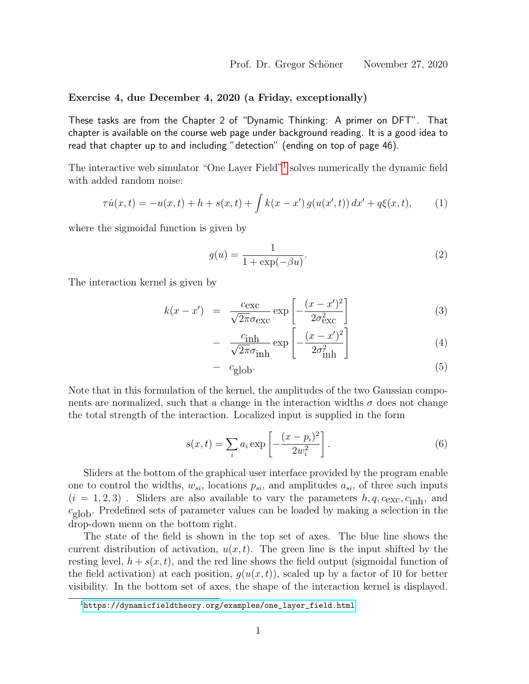Exercise 4, due December 4, 2020 (a Friday, exceptionally)

These tasks are from the Chapter 2 of "Dynamic Thinking: A primer on DFT". That chapter is available on the course web page under background reading. It is a good idea to read that chapter up to and including "detection" (ending on top of page 46).

The interactive web simulator "One Layer Field"<sup>[1](#page-0-0)</sup> solves numerically the dynamic field with added random noise:

$$
\tau \dot{u}(x,t) = -u(x,t) + h + s(x,t) + \int k(x-x') g(u(x',t)) dx' + q\xi(x,t), \qquad (1)
$$

where the sigmoidal function is given by

$$
g(u) = \frac{1}{1 + \exp(-\beta u)}.\tag{2}
$$

The interaction kernel is given by

$$
k(x - x') = \frac{c_{\text{exc}}}{\sqrt{2\pi}\sigma_{\text{exc}}} \exp\left[-\frac{(x - x')^2}{2\sigma_{\text{exc}}^2}\right] \tag{3}
$$

$$
- \frac{c_{\text{inh}}}{\sqrt{2\pi}\sigma_{\text{inh}}} \exp\left[-\frac{(x-x')^2}{2\sigma_{\text{inh}}^2}\right]
$$
(4)

$$
- c_{\text{glob}}. \tag{5}
$$

Note that in this formulation of the kernel, the amplitudes of the two Gaussian components are normalized, such that a change in the interaction widths  $\sigma$  does not change the total strength of the interaction. Localized input is supplied in the form

$$
s(x,t) = \sum_{i} a_i \exp\left[-\frac{(x-p_i)^2}{2w_i^2}\right].
$$
 (6)

Sliders at the bottom of the graphical user interface provided by the program enable one to control the widths,  $w_{si}$ , locations  $p_{si}$ , and amplitudes  $a_{si}$ , of three such inputs  $(i = 1, 2, 3)$ . Sliders are also available to vary the parameters  $h, q, c_{\text{exc}}, c_{\text{inh}}$ , and  $c_{\text{glob}}$ . Predefined sets of parameter values can be loaded by making a selection in the drop-down menu on the bottom right.

The state of the field is shown in the top set of axes. The blue line shows the current distribution of activation,  $u(x, t)$ . The green line is the input shifted by the resting level,  $h + s(x, t)$ , and the red line shows the field output (sigmoidal function of the field activation) at each position,  $g(u(x, t))$ , scaled up by a factor of 10 for better visibility. In the bottom set of axes, the shape of the interaction kernel is displayed.

<span id="page-0-0"></span> $^{\rm 1}$ [https://dynamicfieldtheory.org/examples/one\\_layer\\_field.html](https://dynamicfieldtheory.org/examples/one_layer_field.html)